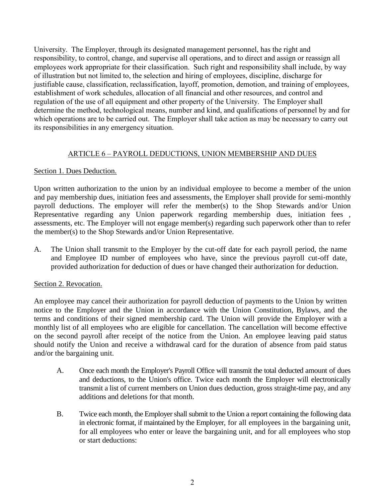University. The Employer, through its designated management personnel, has the right and responsibility, to control, change, and supervise all operations, and to direct and assign or reassign all employees work appropriate for their classification. Such right and responsibility shall include, by way of illustration but not limited to, the selection and hiring of employees, discipline, discharge for justifiable cause, classification, reclassification, layoff, promotion, demotion, and training of employees, establishment of work schedules, allocation of all financial and other resources, and control and regulation of the use of all equipment and other property of the University. The Employer shall determine the method, technological means, number and kind, and qualifications of personnel by and for which operations are to be carried out. The Employer shall take action as may be necessary to carry out its responsibilities in any emergency situation.

# ARTICLE 6 – PAYROLL DEDUCTIONS, UNION MEMBERSHIP AND DUES

# Section 1. Dues Deduction.

Upon written authorization to the union by an individual employee to become a member of the union and pay membership dues, initiation fees and assessments, the Employer shall provide for semi-monthly payroll deductions. The employer will refer the member(s) to the Shop Stewards and/or Union Representative regarding any Union paperwork regarding membership dues, initiation fees , assessments, etc. The Employer will not engage member(s) regarding such paperwork other than to refer the member(s) to the Shop Stewards and/or Union Representative.

A. The Union shall transmit to the Employer by the cut-off date for each payroll period, the name and Employee ID number of employees who have, since the previous payroll cut-off date, provided authorization for deduction of dues or have changed their authorization for deduction.

### Section 2. Revocation.

An employee may cancel their authorization for payroll deduction of payments to the Union by written notice to the Employer and the Union in accordance with the Union Constitution, Bylaws, and the terms and conditions of their signed membership card. The Union will provide the Employer with a monthly list of all employees who are eligible for cancellation. The cancellation will become effective on the second payroll after receipt of the notice from the Union. An employee leaving paid status should notify the Union and receive a withdrawal card for the duration of absence from paid status and/or the bargaining unit.

- A. Once each month the Employer's Payroll Office will transmit the total deducted amount of dues and deductions, to the Union's office. Twice each month the Employer will electronically transmit a list of current members on Union dues deduction, gross straight-time pay, and any additions and deletions for that month.
- B. Twice each month, the Employer shall submit to the Union a report containing the following data in electronic format, if maintained by the Employer, for all employees in the bargaining unit, for all employees who enter or leave the bargaining unit, and for all employees who stop or start deductions: